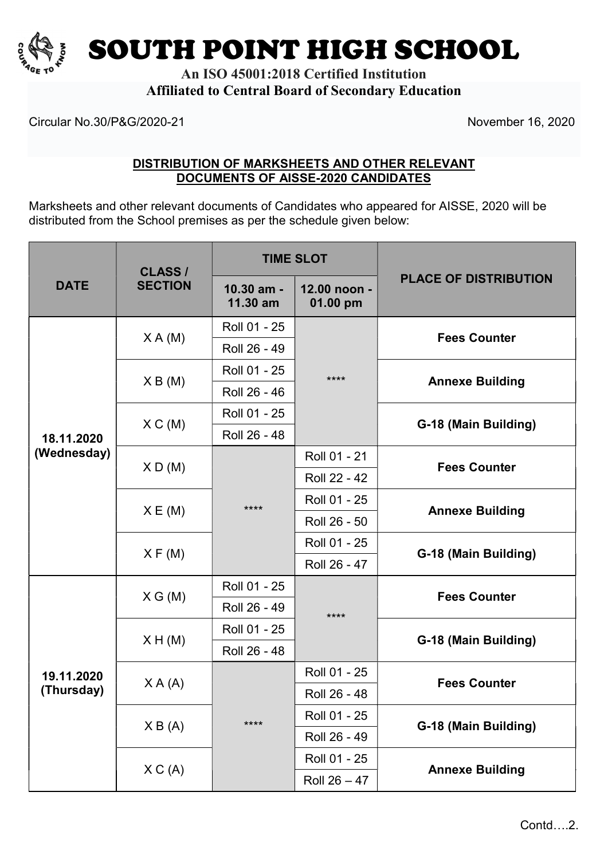

SOUTH POINT HIGH SCHOOL

An ISO 45001:2018 Certified Institution Affiliated to Central Board of Secondary Education

Circular No.30/P&G/2020-21 November 16, 2020

## DISTRIBUTION OF MARKSHEETS AND OTHER RELEVANT DOCUMENTS OF AISSE-2020 CANDIDATES

Marksheets and other relevant documents of Candidates who appeared for AISSE, 2020 will be distributed from the School premises as per the schedule given below:

| <b>DATE</b>               | <b>CLASS /</b><br><b>SECTION</b> | <b>TIME SLOT</b>       |                          |                                             |
|---------------------------|----------------------------------|------------------------|--------------------------|---------------------------------------------|
|                           |                                  | 10.30 am -<br>11.30 am | 12.00 noon -<br>01.00 pm | <b>PLACE OF DISTRIBUTION</b>                |
| 18.11.2020<br>(Wednesday) | X A(M)                           | Roll 01 - 25           | ****                     | <b>Fees Counter</b>                         |
|                           |                                  | Roll 26 - 49           |                          |                                             |
|                           | X B(M)                           | Roll 01 - 25           |                          | <b>Annexe Building</b>                      |
|                           |                                  | Roll 26 - 46           |                          |                                             |
|                           | X C(M)                           | Roll 01 - 25           |                          | G-18 (Main Building)                        |
|                           |                                  | Roll 26 - 48           |                          |                                             |
|                           | X D(M)                           | $***$                  | Roll 01 - 21             | <b>Fees Counter</b>                         |
|                           |                                  |                        | Roll 22 - 42             |                                             |
|                           | X E(M)                           |                        | Roll 01 - 25             | <b>Annexe Building</b>                      |
|                           |                                  |                        | Roll 26 - 50             |                                             |
|                           | X F(M)                           |                        | Roll 01 - 25             | G-18 (Main Building)                        |
|                           |                                  |                        | Roll 26 - 47             |                                             |
| 19.11.2020<br>(Thursday)  | X G (M)                          | Roll 01 - 25           | ****                     | <b>Fees Counter</b><br>G-18 (Main Building) |
|                           |                                  | Roll 26 - 49           |                          |                                             |
|                           | X H(M)                           | Roll 01 - 25           |                          |                                             |
|                           |                                  | Roll 26 - 48           |                          |                                             |
|                           | X A (A)                          | ****                   | Roll 01 - 25             | <b>Fees Counter</b>                         |
|                           |                                  |                        | Roll 26 - 48             |                                             |
|                           | X B (A)                          |                        | Roll 01 - 25             | G-18 (Main Building)                        |
|                           |                                  |                        | Roll 26 - 49             |                                             |
|                           | X C(A)                           |                        | Roll 01 - 25             |                                             |
|                           |                                  |                        | Roll $26 - 47$           | <b>Annexe Building</b>                      |